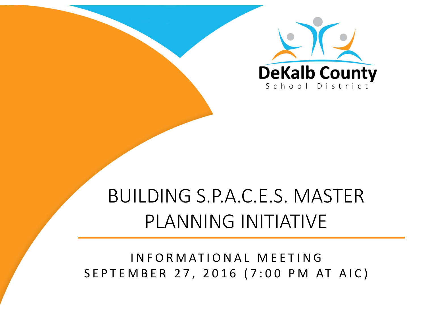

# BUILDING S.P.A.C.E.S. MASTER PLANNING INITIATIVE

### INFORMATIONAL MEETINGSEPTEMBER 27, 2016 (7:00 P M AT AIC)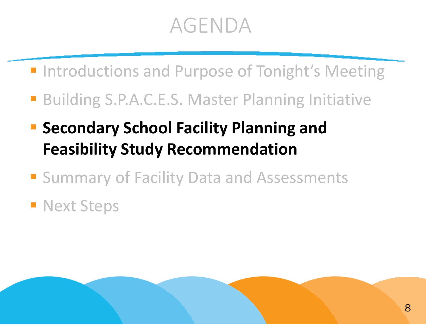# AGENDA

- **Introductions and Purpose of Tonight's Meeting**
- Building S.P.A.C.E.S. Master Planning Initiative
- **Secondary School Facility Planning and Feasibility Study Recommendation**
- **Summary of Facility Data and Assessments**

### **Next Steps**

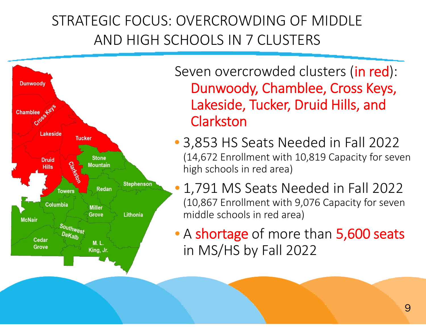### STRATEGIC FOCUS: OVERCROWDING OF MIDDLE AND HIGH SCHOOLS IN 7 CLUSTERS



Seven overcrowded clusters (**in red**): Dunwoody, Chamblee, Cross Keys, Lakeside, Tucker, Druid Hills, and **Clarkston** 

- 3,853 HS Seats Needed in Fall 2022 (14,672 Enrollment with 10,819 Capacity for seven high schools in red area)
- • 1,791 MS Seats Needed in Fall 2022 (10,867 Enrollment with 9,076 Capacity for seven middle schools in red area)
- A shortage of more than 5,600 seats in MS/HS by Fall 2022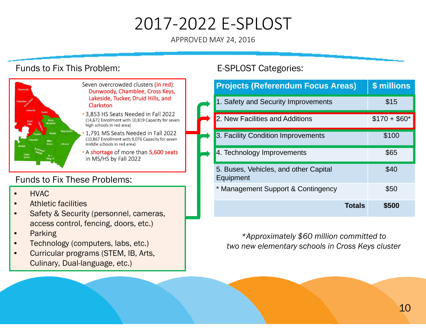## 2017‐2022 E‐SPLOST

APPROVED MAY 24, 2016

#### Funds to Fix This Problem:





- 3,853 HS Seats Needed in Fall 2022 (14,672 Enrollment with 10,819 Capacity for seven high schools in red area)
- 1.791 MS Seats Needed in Fall 2022 (10,867 Enrollment with 9,076 Capacity for seven middle schools in red area)
- A shortage of more than 5,600 seats in MS/HS by Fall 2022

#### Funds to Fix These Problems:

- •HVAC
- •Athletic facilities
- • Safety & Security (personnel, cameras, access control, fencing, doors, etc.)
- •Parking
- •Technology (computers, labs, etc.)
- • Curricular programs (STEM, IB, Arts, Culinary, Dual-language, etc.)

#### E-SPLOST Categories:

| <b>Projects (Referendum Focus Areas)</b>           | \$ millions   |
|----------------------------------------------------|---------------|
| 1. Safety and Security Improvements                | \$15          |
| 2. New Facilities and Additions                    | $$170 + $60*$ |
| 3. Facility Condition Improvements                 | \$100         |
| 4. Technology Improvements                         | \$65          |
| 5. Buses, Vehicles, and other Capital<br>Equipment | \$40          |
| * Management Support & Contingency                 | \$50          |
| <b>Totals</b>                                      | \$500         |

*\*Approximately \$60 million committed to two new elementary schools in Cross Keys cluster*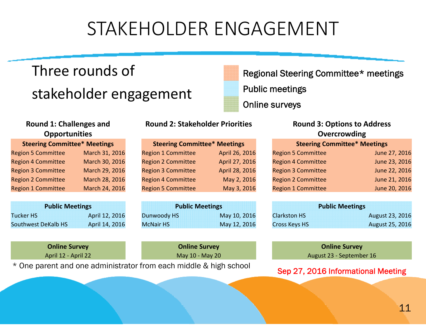# STAKEHOLDER ENGAGEMENT

### Three rounds of stakeholder engagement

#### **Round 1: Challenges and Opportunities**

| <b>Steering Committee* Meetings</b> |                |  |  |  |  |
|-------------------------------------|----------------|--|--|--|--|
| <b>Region 5 Committee</b>           | March 31, 2016 |  |  |  |  |
| <b>Region 4 Committee</b>           | March 30, 2016 |  |  |  |  |
| <b>Region 3 Committee</b>           | March 29, 2016 |  |  |  |  |
| <b>Region 2 Committee</b>           | March 28, 2016 |  |  |  |  |
| <b>Region 1 Committee</b>           | March 24, 2016 |  |  |  |  |

| <b>Public Meetings</b> |                |  |  |  |  |
|------------------------|----------------|--|--|--|--|
| <b>Tucker HS</b>       | April 12, 2016 |  |  |  |  |
| Southwest DeKalb HS    | April 14, 2016 |  |  |  |  |

**Online Survey** 

\* One parent and one administrator from each middle & high school<br>Sep 27, 2016 Informational Meeting

#### **Round 2: Stakeholder Priorities**

| April 26, 2016 |
|----------------|
| April 27, 2016 |
| April 28, 2016 |
| May 2, 2016    |
| May 3, 2016    |
|                |

| c Meetings |                |                  | <b>Public Meetings</b> | <b>Public Meetings</b> |  |
|------------|----------------|------------------|------------------------|------------------------|--|
|            | April 12, 2016 | Dunwoody HS      | May 10, 2016           | <b>Clarkston HS</b>    |  |
| <b>HS</b>  | April 14, 2016 | <b>McNair HS</b> | May 12, 2016           | <b>Cross Keys HS</b>   |  |

Regional Steering Committee\* meetings Public meetings Online surveys

#### **2: Stakeholder Priorities Round 3: Options to Address Overcrowding**

| <b>Steering Committee* Meetings</b> |                | <b>Steering Committee* Meetings</b> |                | <b>Steering Committee* Meetings</b> |               |
|-------------------------------------|----------------|-------------------------------------|----------------|-------------------------------------|---------------|
| <b>Region 5 Committee</b>           | March 31, 2016 | <b>Region 1 Committee</b>           | April 26, 2016 | <b>Region 5 Committee</b>           | June 27, 2016 |
| <b>Region 4 Committee</b>           | March 30, 2016 | <b>Region 2 Committee</b>           | April 27, 2016 | <b>Region 4 Committee</b>           | June 23, 2016 |
| <b>Region 3 Committee</b>           | March 29, 2016 | <b>Region 3 Committee</b>           | April 28, 2016 | <b>Region 3 Committee</b>           | June 22, 2016 |
| <b>Region 2 Committee</b>           | March 28, 2016 | <b>Region 4 Committee</b>           | May 2, 2016    | <b>Region 2 Committee</b>           | June 21, 2016 |
| Region 1 Committee                  | March 24, 2016 | <b>Region 5 Committee</b>           | May 3, 2016    | <b>Region 1 Committee</b>           | June 20, 2016 |

| <b>Public Meetings</b> |                |                  | <b>Public Meetings</b> | <b>Public Meetings</b> |                        |  |
|------------------------|----------------|------------------|------------------------|------------------------|------------------------|--|
| r HS                   | April 12, 2016 | Dunwoody HS      | May 10, 2016           | <b>Clarkston HS</b>    | <b>August 23, 2016</b> |  |
| west DeKalb HS         | April 14, 2016 | <b>McNair HS</b> | May 12, 2016           | Cross Keys HS          | August 25, 2016        |  |

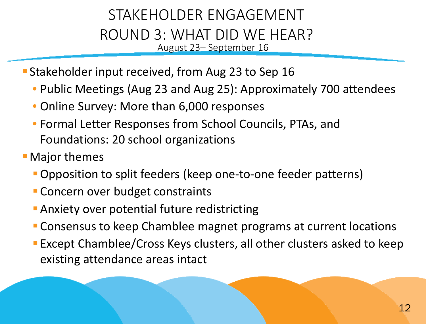### STAKEHOLDER ENGAGEMENT ROUND 3: WHAT DID WE HEAR? August 23– September 16

- **Stakeholder input received, from Aug 23 to Sep 16** 
	- Public Meetings (Aug 23 and Aug 25): Approximately 700 attendees
	- Online Survey: More than 6,000 responses
	- Formal Letter Responses from School Councils, PTAs, and Foundations: 20 school organizations
- Major themes
	- Opposition to split feeders (keep one-to-one feeder patterns)
	- **Concern over budget constraints**
	- **Anxiety over potential future redistricting**
	- Consensus to keep Chamblee magnet programs at current locations
	- Except Chamblee/Cross Keys clusters, all other clusters asked to keep existing attendance areas intact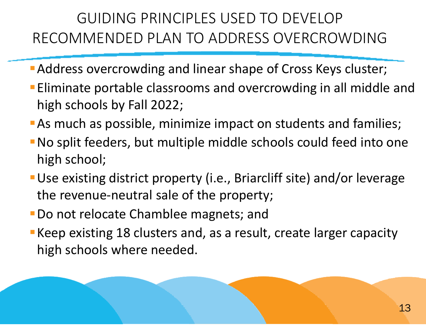### GUIDING PRINCIPLES USED TO DEVELOP RECOMMENDED PLAN TO ADDRESS OVERCROWDING

- Address overcrowding and linear shape of Cross Keys cluster;
- Eliminate portable classrooms and overcrowding in all middle and high schools by Fall 2022;
- As much as possible, minimize impact on students and families;
- No split feeders, but multiple middle schools could feed into one high school;
- Use existing district property (i.e., Briarcliff site) and/or leverage the revenue‐neutral sale of the property;
- Do not relocate Chamblee magnets; and
- Keep existing 18 clusters and, as <sup>a</sup> result, create larger capacity high schools where needed.

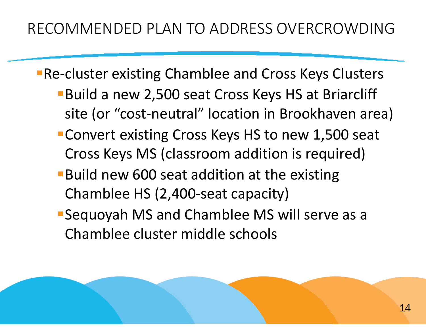- **Re-cluster existing Chamblee and Cross Keys Clusters** 
	- Build a new 2,500 seat Cross Keys HS at Briarcliff site (or "cost‐neutral" location in Brookhaven area)
	- Convert existing Cross Keys HS to new 1,500 seat Cross Keys MS (classroom addition is required)
	- **Build new 600 seat addition at the existing** Chamblee HS (2,400‐seat capacity)
	- Sequoyah MS and Chamblee MS will serve as <sup>a</sup> Chamblee cluster middle schools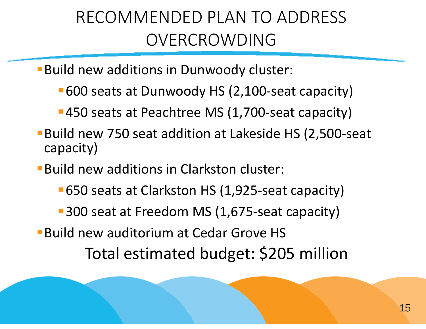## RECOMMENDED PLAN TO ADDRESS OVERCROWDING

Build new additions in Dunwoody cluster:

- 600 seats at Dunwoody HS (2,100‐seat capacity)
- 450 seats at Peachtree MS (1,700-seat capacity)
- Build new 750 seat addition at Lakeside HS (2,500‐seat capacity)
- Build new additions in Clarkston cluster:
	- 650 seats at Clarkston HS (1,925‐seat capacity)
	- 300 seat at Freedom MS (1,675-seat capacity)
- Build new auditorium at Cedar Grove HS

Total estimated budget: \$205 million